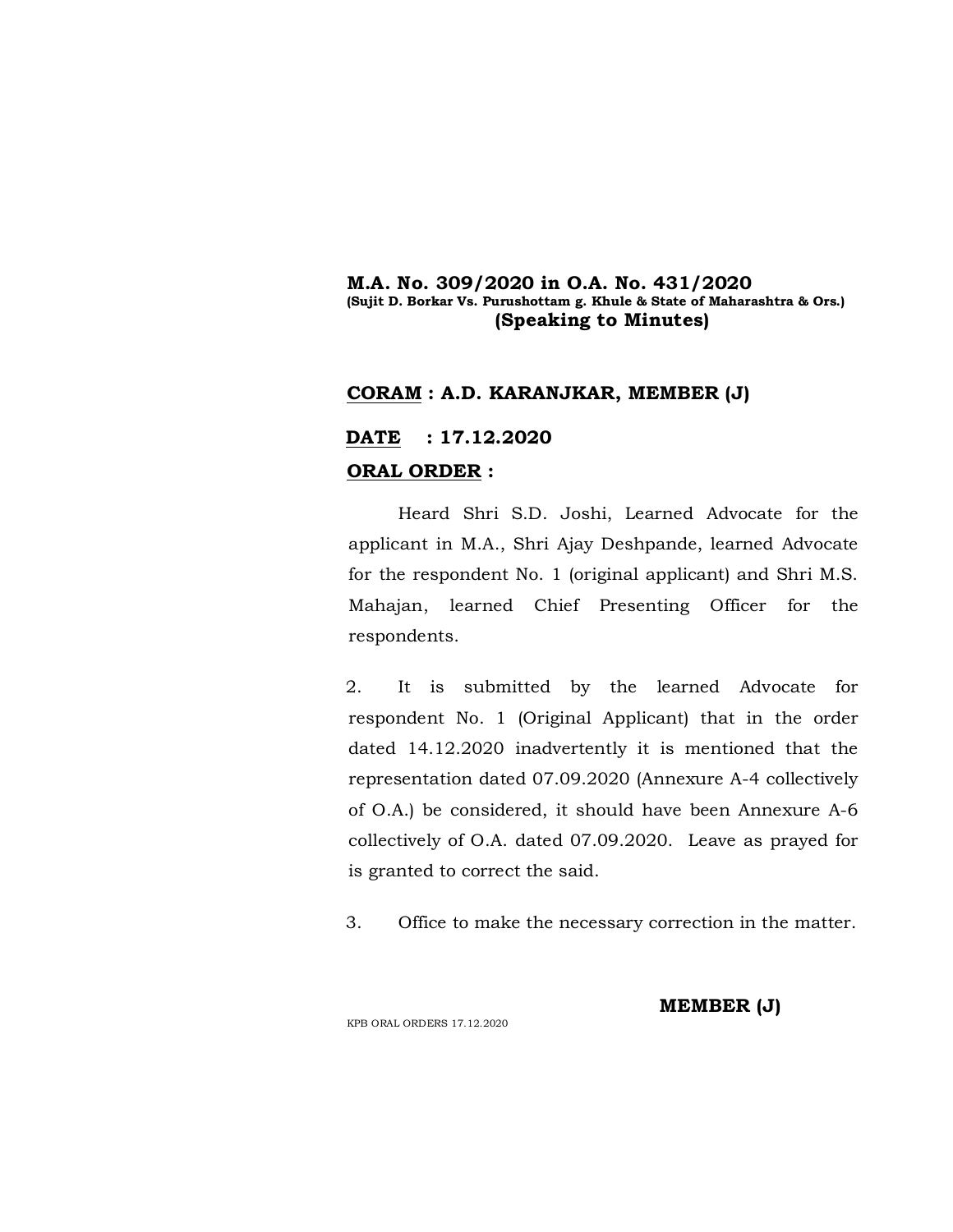### **M.A. No. 309/2020 in O.A. No. 431/2020 (Sujit D. Borkar Vs. Purushottam g. Khule & State of Maharashtra & Ors.) (Speaking to Minutes)**

## **CORAM : A.D. KARANJKAR, MEMBER (J)**

## **DATE : 17.12.2020 ORAL ORDER :**

Heard Shri S.D. Joshi, Learned Advocate for the applicant in M.A., Shri Ajay Deshpande, learned Advocate for the respondent No. 1 (original applicant) and Shri M.S. Mahajan, learned Chief Presenting Officer for the respondents.

2. It is submitted by the learned Advocate for respondent No. 1 (Original Applicant) that in the order dated 14.12.2020 inadvertently it is mentioned that the representation dated 07.09.2020 (Annexure A-4 collectively of O.A.) be considered, it should have been Annexure A-6 collectively of O.A. dated 07.09.2020. Leave as prayed for is granted to correct the said.

3. Office to make the necessary correction in the matter.

KPB ORAL ORDERS 17.12.2020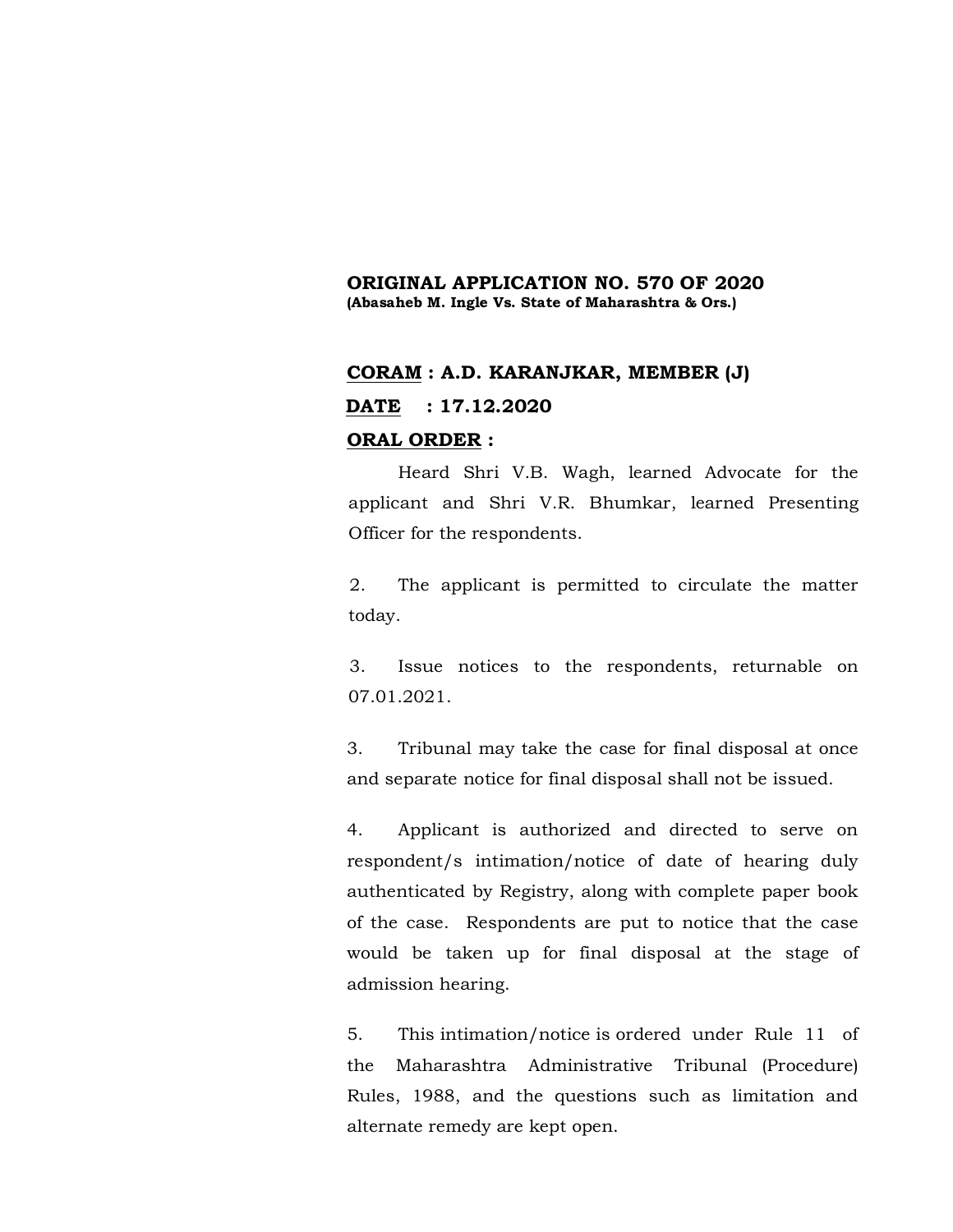### **ORIGINAL APPLICATION NO. 570 OF 2020 (Abasaheb M. Ingle Vs. State of Maharashtra & Ors.)**

# **CORAM : A.D. KARANJKAR, MEMBER (J) DATE : 17.12.2020 ORAL ORDER :**

Heard Shri V.B. Wagh, learned Advocate for the applicant and Shri V.R. Bhumkar, learned Presenting Officer for the respondents.

2. The applicant is permitted to circulate the matter today.

3. Issue notices to the respondents, returnable on 07.01.2021.

3. Tribunal may take the case for final disposal at once and separate notice for final disposal shall not be issued.

4. Applicant is authorized and directed to serve on respondent/s intimation/notice of date of hearing duly authenticated by Registry, along with complete paper book of the case. Respondents are put to notice that the case would be taken up for final disposal at the stage of admission hearing.

5. This intimation/notice is ordered under Rule 11 of the Maharashtra Administrative Tribunal (Procedure) Rules, 1988, and the questions such as limitation and alternate remedy are kept open.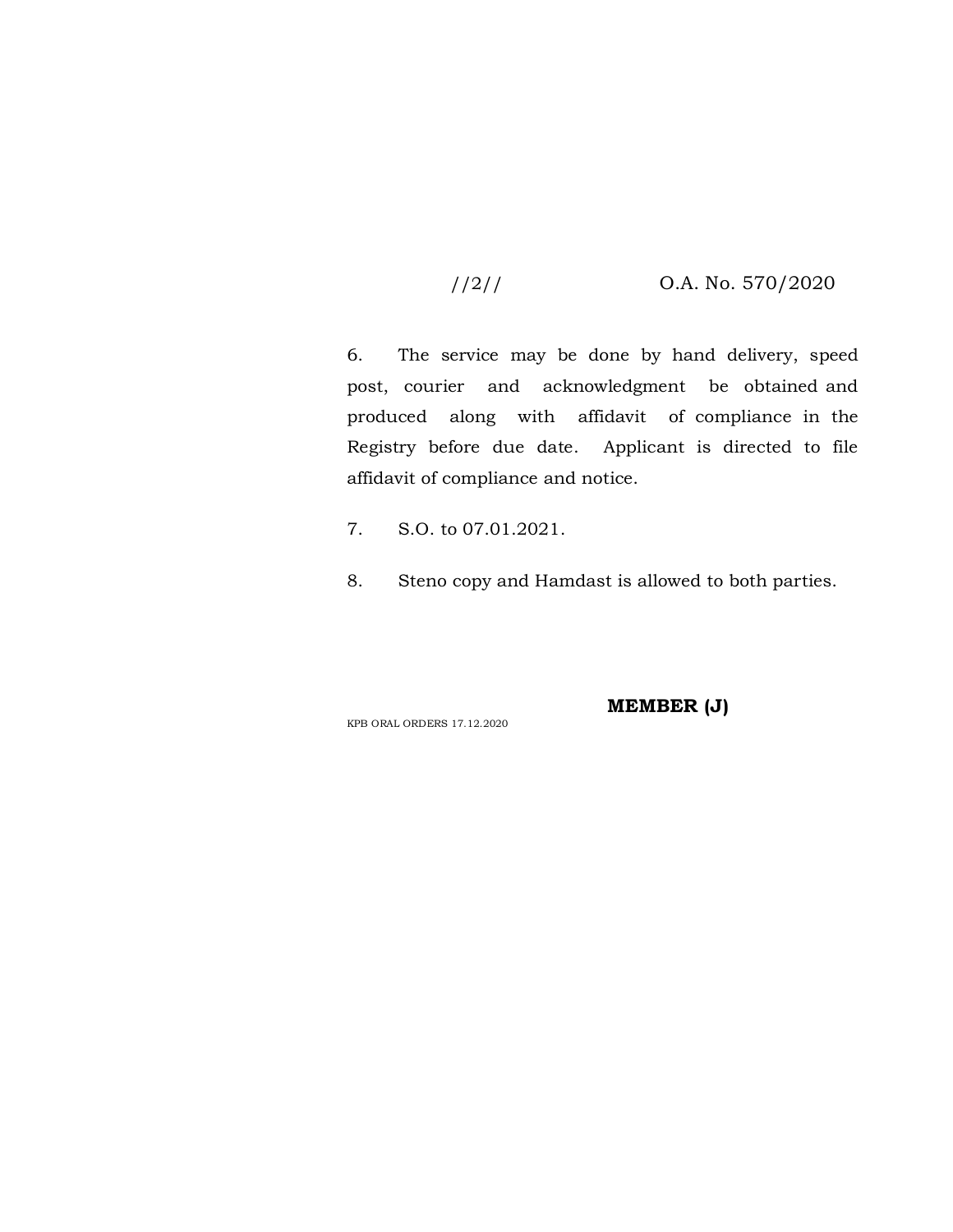## //2// O.A. No. 570/2020

6. The service may be done by hand delivery, speed post, courier and acknowledgment be obtained and produced along with affidavit of compliance in the Registry before due date. Applicant is directed to file affidavit of compliance and notice.

- 7. S.O. to 07.01.2021.
- 8. Steno copy and Hamdast is allowed to both parties.

KPB ORAL ORDERS 17.12.2020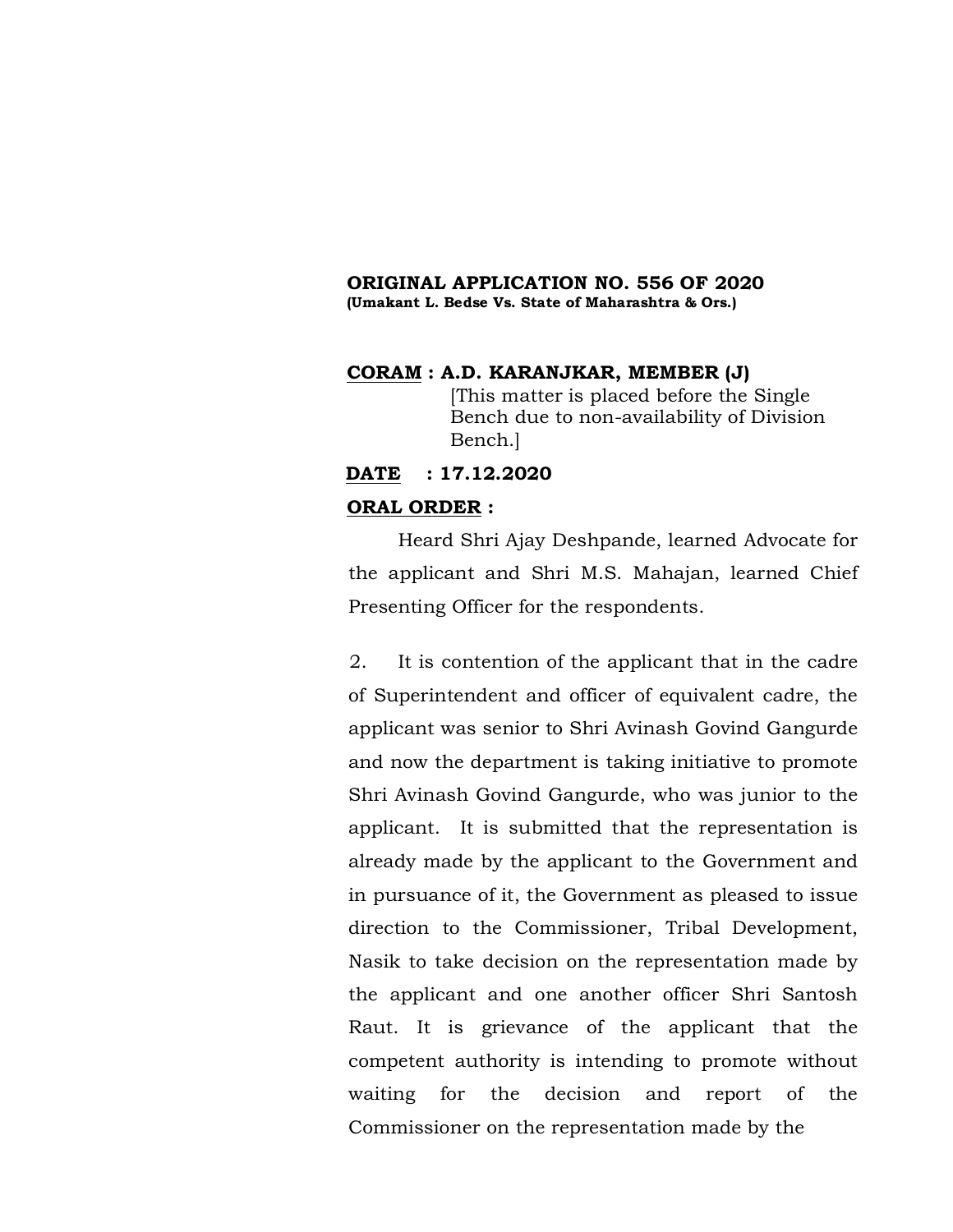#### **ORIGINAL APPLICATION NO. 556 OF 2020 (Umakant L. Bedse Vs. State of Maharashtra & Ors.)**

### **CORAM : A.D. KARANJKAR, MEMBER (J)**

[This matter is placed before the Single Bench due to non-availability of Division Bench.]

## **DATE : 17.12.2020**

#### **ORAL ORDER :**

Heard Shri Ajay Deshpande, learned Advocate for the applicant and Shri M.S. Mahajan, learned Chief Presenting Officer for the respondents.

2. It is contention of the applicant that in the cadre of Superintendent and officer of equivalent cadre, the applicant was senior to Shri Avinash Govind Gangurde and now the department is taking initiative to promote Shri Avinash Govind Gangurde, who was junior to the applicant. It is submitted that the representation is already made by the applicant to the Government and in pursuance of it, the Government as pleased to issue direction to the Commissioner, Tribal Development, Nasik to take decision on the representation made by the applicant and one another officer Shri Santosh Raut. It is grievance of the applicant that the competent authority is intending to promote without waiting for the decision and report of the Commissioner on the representation made by the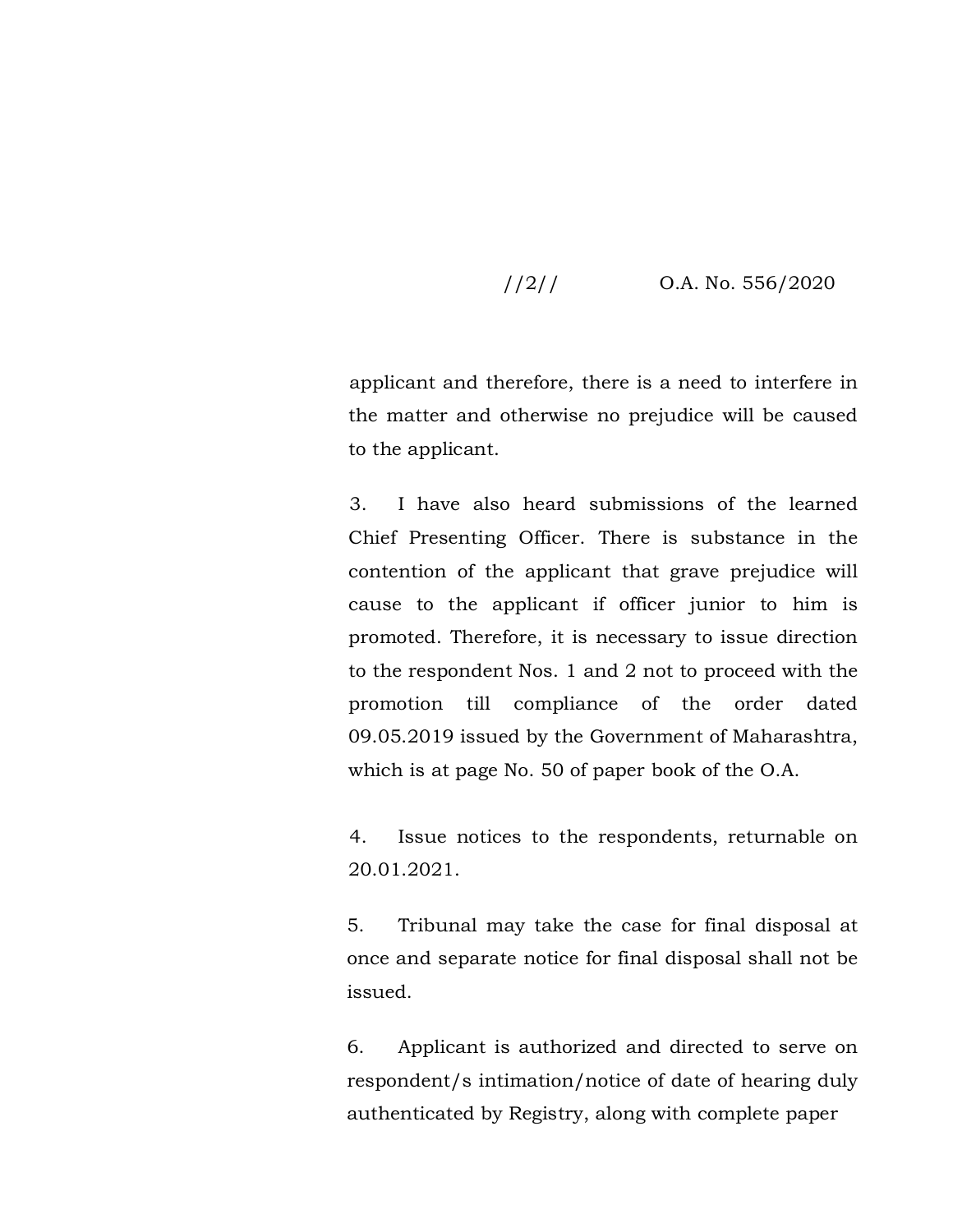## //2// O.A. No. 556/2020

applicant and therefore, there is a need to interfere in the matter and otherwise no prejudice will be caused to the applicant.

3. I have also heard submissions of the learned Chief Presenting Officer. There is substance in the contention of the applicant that grave prejudice will cause to the applicant if officer junior to him is promoted. Therefore, it is necessary to issue direction to the respondent Nos. 1 and 2 not to proceed with the promotion till compliance of the order dated 09.05.2019 issued by the Government of Maharashtra, which is at page No. 50 of paper book of the O.A.

4. Issue notices to the respondents, returnable on 20.01.2021.

5. Tribunal may take the case for final disposal at once and separate notice for final disposal shall not be issued.

6. Applicant is authorized and directed to serve on respondent/s intimation/notice of date of hearing duly authenticated by Registry, along with complete paper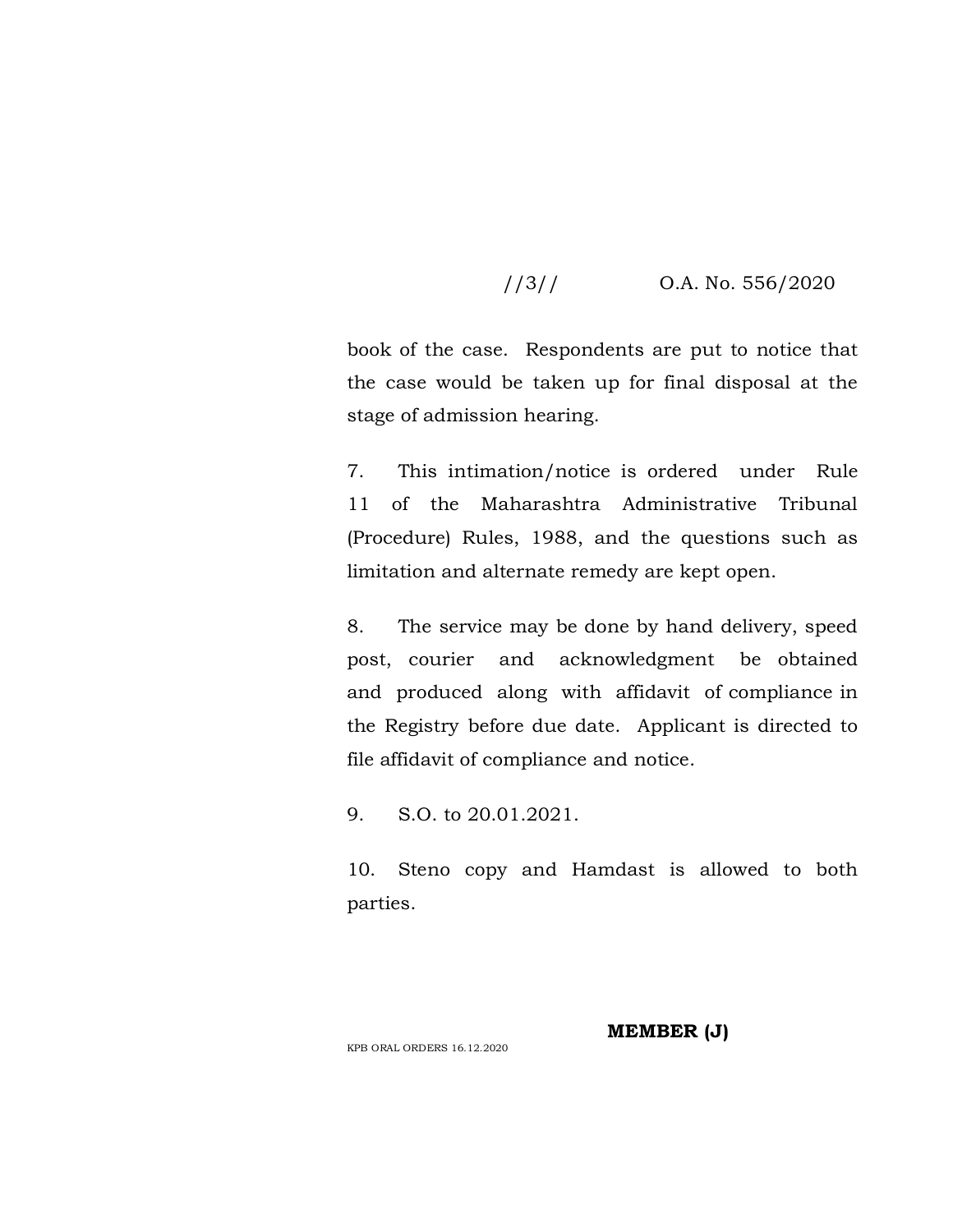## //3// O.A. No. 556/2020

book of the case. Respondents are put to notice that the case would be taken up for final disposal at the stage of admission hearing.

7. This intimation/notice is ordered under Rule 11 of the Maharashtra Administrative Tribunal (Procedure) Rules, 1988, and the questions such as limitation and alternate remedy are kept open.

8. The service may be done by hand delivery, speed post, courier and acknowledgment be obtained and produced along with affidavit of compliance in the Registry before due date. Applicant is directed to file affidavit of compliance and notice.

9. S.O. to 20.01.2021.

10. Steno copy and Hamdast is allowed to both parties.

**MEMBER (J)**

KPB ORAL ORDERS 16.12.2020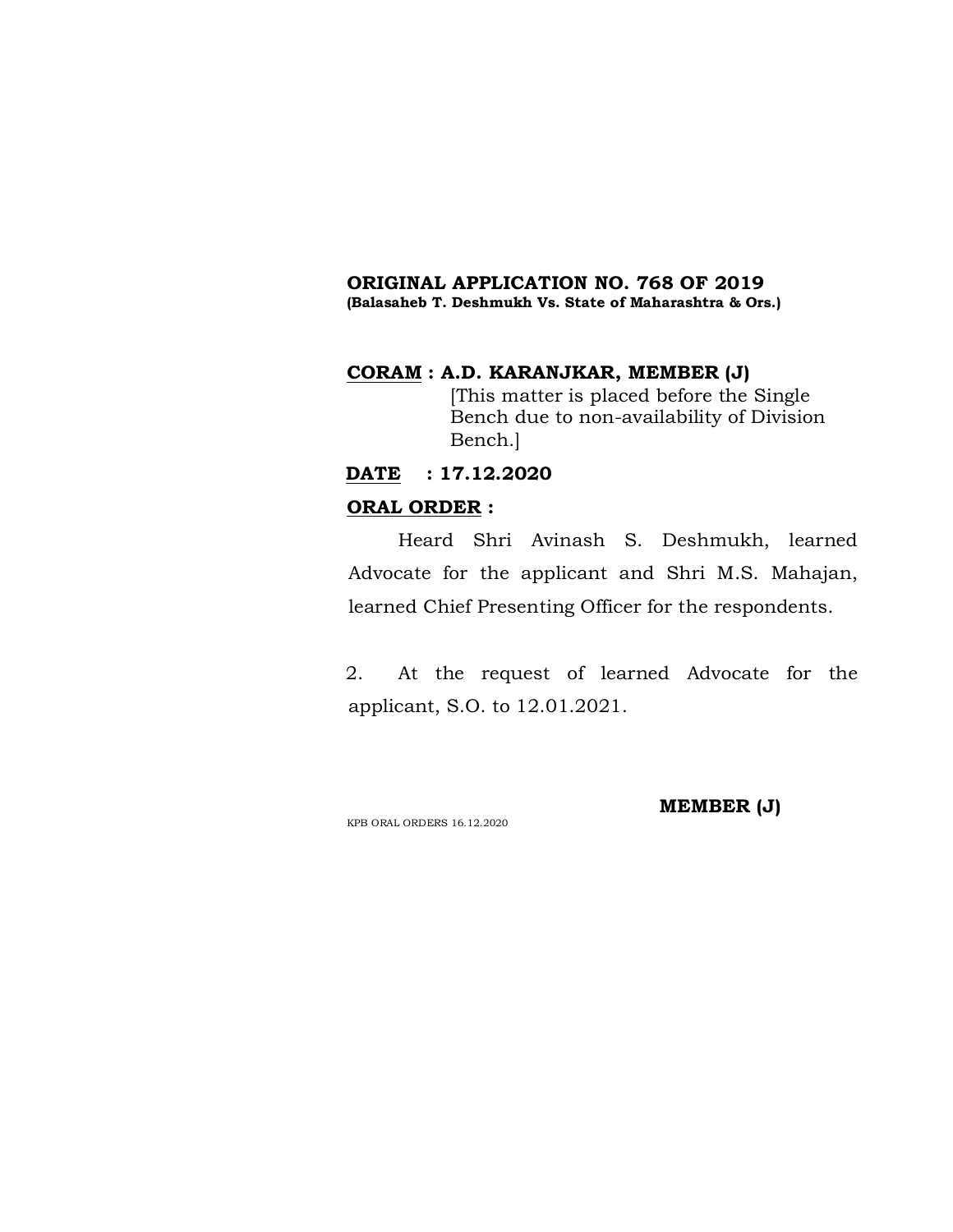# **ORIGINAL APPLICATION NO. 768 OF 2019**

# **(Balasaheb T. Deshmukh Vs. State of Maharashtra & Ors.)**

## **CORAM : A.D. KARANJKAR, MEMBER (J)**

[This matter is placed before the Single Bench due to non-availability of Division Bench.]

## **DATE : 17.12.2020**

### **ORAL ORDER :**

Heard Shri Avinash S. Deshmukh, learned Advocate for the applicant and Shri M.S. Mahajan, learned Chief Presenting Officer for the respondents.

2. At the request of learned Advocate for the applicant, S.O. to 12.01.2021.

KPB ORAL ORDERS 16.12.2020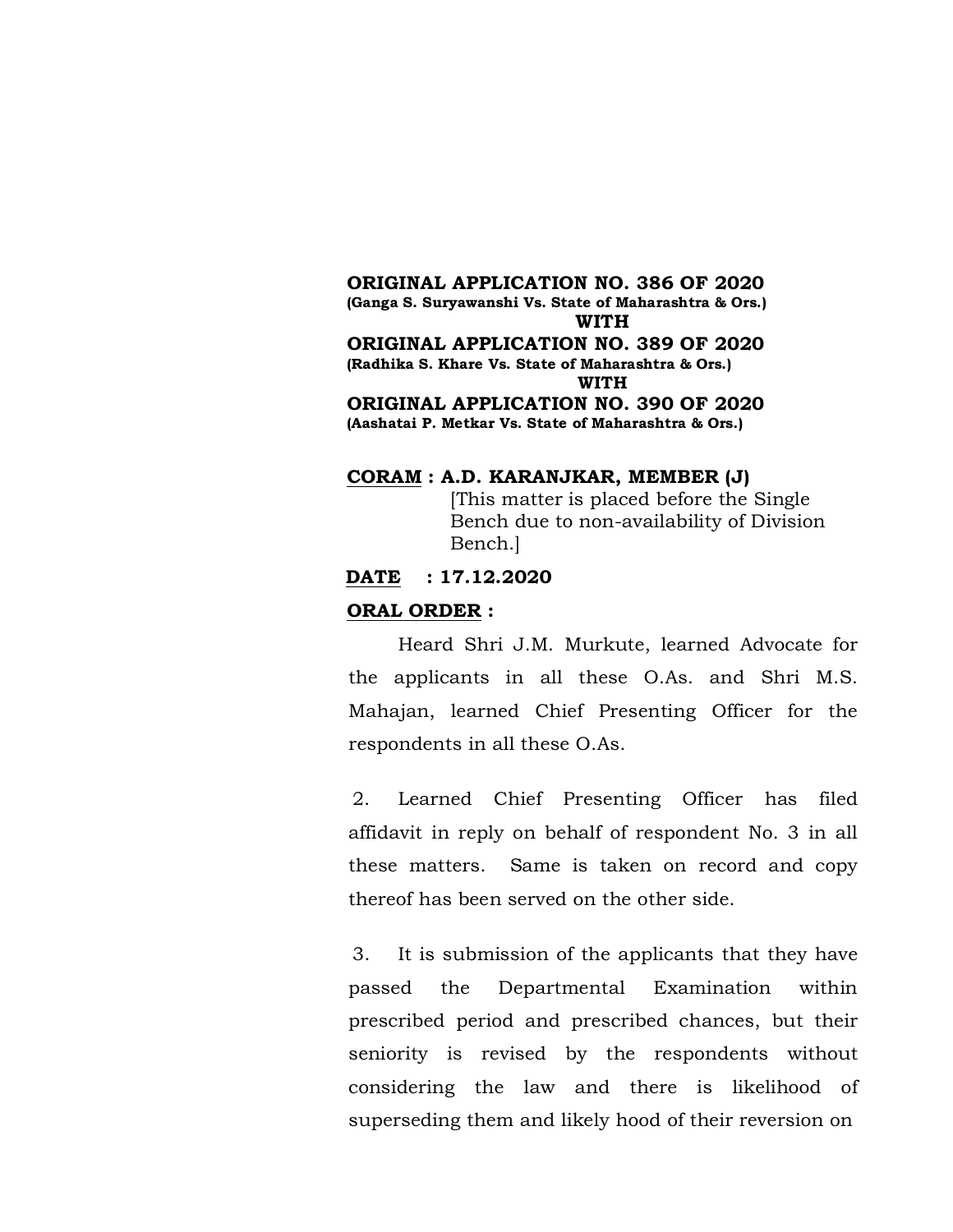**ORIGINAL APPLICATION NO. 386 OF 2020 (Ganga S. Suryawanshi Vs. State of Maharashtra & Ors.) WITH ORIGINAL APPLICATION NO. 389 OF 2020 (Radhika S. Khare Vs. State of Maharashtra & Ors.) WITH ORIGINAL APPLICATION NO. 390 OF 2020 (Aashatai P. Metkar Vs. State of Maharashtra & Ors.)**

#### **CORAM : A.D. KARANJKAR, MEMBER (J)**

[This matter is placed before the Single Bench due to non-availability of Division Bench.]

**DATE : 17.12.2020**

#### **ORAL ORDER :**

Heard Shri J.M. Murkute, learned Advocate for the applicants in all these O.As. and Shri M.S. Mahajan, learned Chief Presenting Officer for the respondents in all these O.As.

2. Learned Chief Presenting Officer has filed affidavit in reply on behalf of respondent No. 3 in all these matters. Same is taken on record and copy thereof has been served on the other side.

3. It is submission of the applicants that they have passed the Departmental Examination within prescribed period and prescribed chances, but their seniority is revised by the respondents without considering the law and there is likelihood of superseding them and likely hood of their reversion on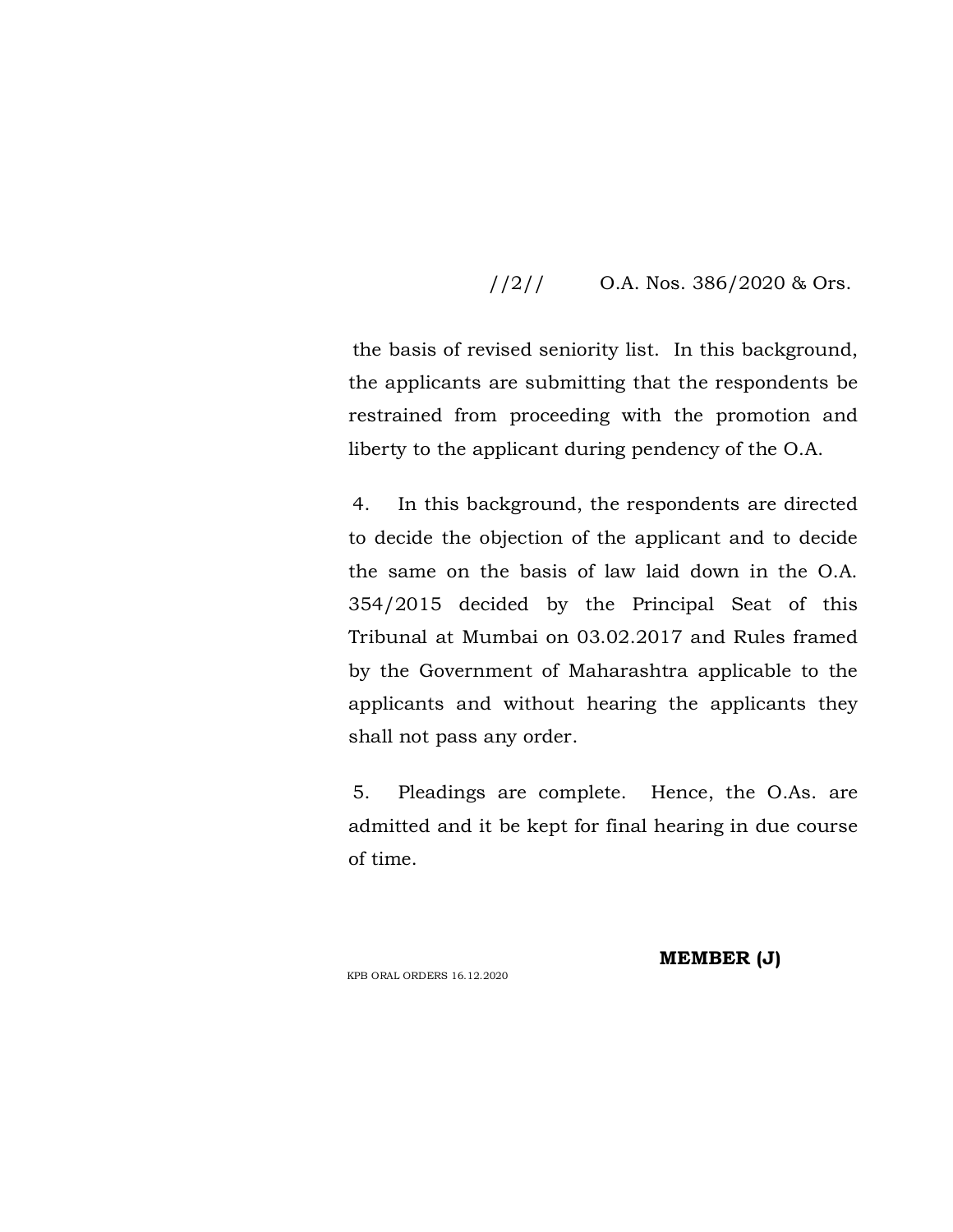## $1/2$  /  $0.A.$  Nos. 386/2020 & Ors.

the basis of revised seniority list. In this background, the applicants are submitting that the respondents be restrained from proceeding with the promotion and liberty to the applicant during pendency of the O.A.

4. In this background, the respondents are directed to decide the objection of the applicant and to decide the same on the basis of law laid down in the O.A. 354/2015 decided by the Principal Seat of this Tribunal at Mumbai on 03.02.2017 and Rules framed by the Government of Maharashtra applicable to the applicants and without hearing the applicants they shall not pass any order.

5. Pleadings are complete. Hence, the O.As. are admitted and it be kept for final hearing in due course of time.

KPB ORAL ORDERS 16.12.2020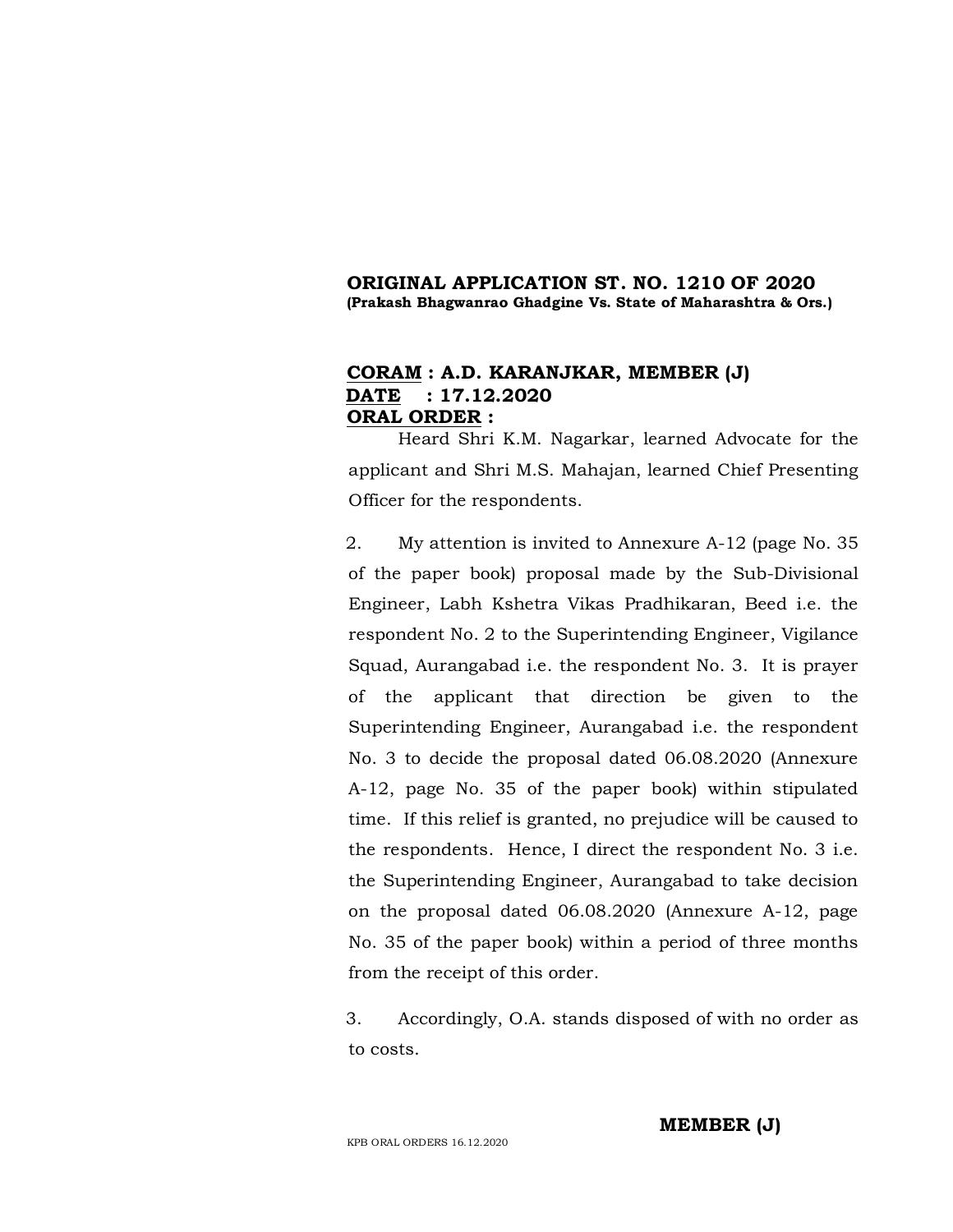### **ORIGINAL APPLICATION ST. NO. 1210 OF 2020 (Prakash Bhagwanrao Ghadgine Vs. State of Maharashtra & Ors.)**

## **CORAM : A.D. KARANJKAR, MEMBER (J) DATE : 17.12.2020 ORAL ORDER :**

Heard Shri K.M. Nagarkar, learned Advocate for the applicant and Shri M.S. Mahajan, learned Chief Presenting Officer for the respondents.

2. My attention is invited to Annexure A-12 (page No. 35 of the paper book) proposal made by the Sub-Divisional Engineer, Labh Kshetra Vikas Pradhikaran, Beed i.e. the respondent No. 2 to the Superintending Engineer, Vigilance Squad, Aurangabad i.e. the respondent No. 3. It is prayer of the applicant that direction be given to the Superintending Engineer, Aurangabad i.e. the respondent No. 3 to decide the proposal dated 06.08.2020 (Annexure A-12, page No. 35 of the paper book) within stipulated time. If this relief is granted, no prejudice will be caused to the respondents. Hence, I direct the respondent No. 3 i.e. the Superintending Engineer, Aurangabad to take decision on the proposal dated 06.08.2020 (Annexure A-12, page No. 35 of the paper book) within a period of three months from the receipt of this order.

3. Accordingly, O.A. stands disposed of with no order as to costs.

KPB ORAL ORDERS 16.12.2020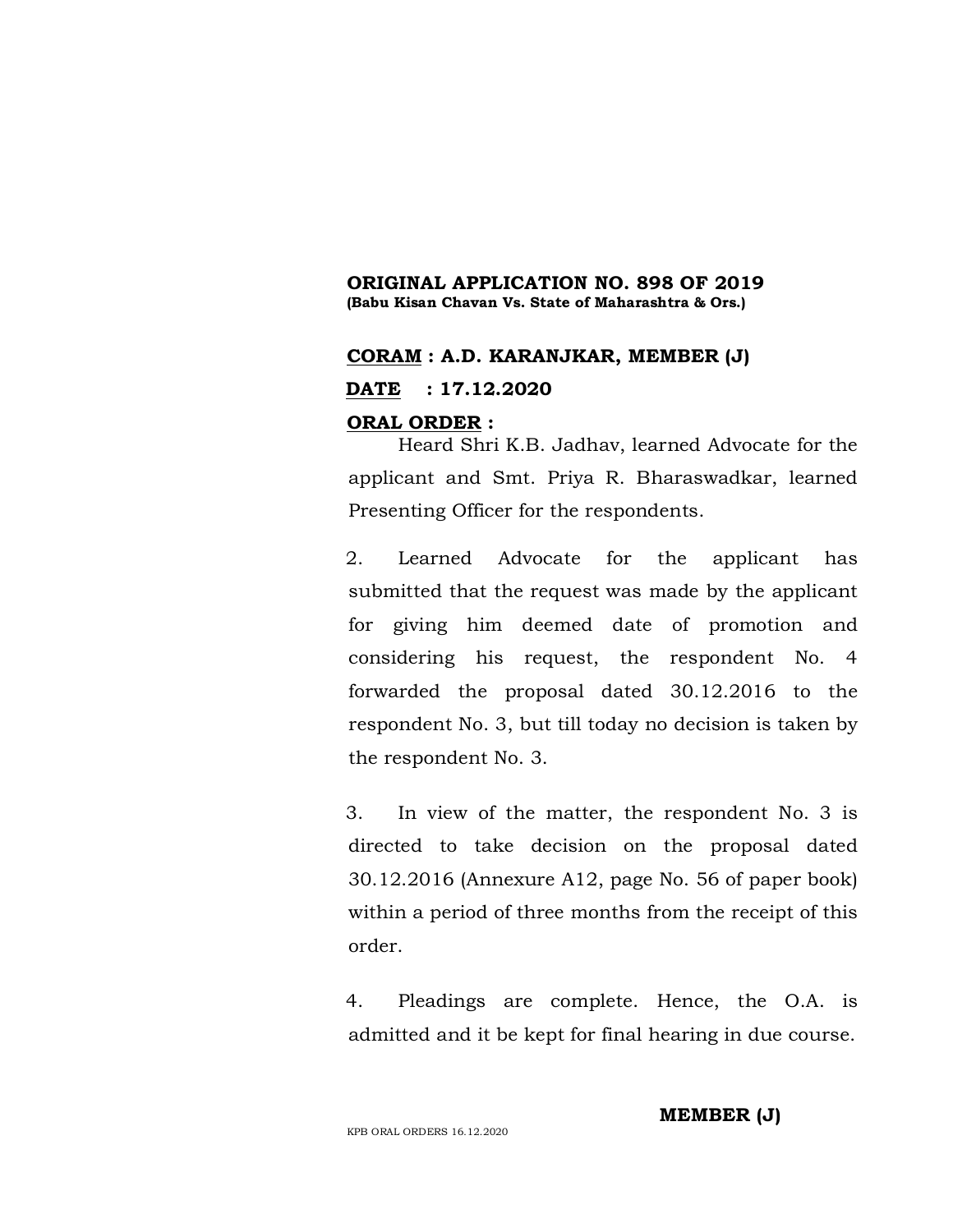### **ORIGINAL APPLICATION NO. 898 OF 2019 (Babu Kisan Chavan Vs. State of Maharashtra & Ors.)**

## **CORAM : A.D. KARANJKAR, MEMBER (J)**

**DATE : 17.12.2020**

## **ORAL ORDER :**

Heard Shri K.B. Jadhav, learned Advocate for the applicant and Smt. Priya R. Bharaswadkar, learned Presenting Officer for the respondents.

2. Learned Advocate for the applicant has submitted that the request was made by the applicant for giving him deemed date of promotion and considering his request, the respondent No. 4 forwarded the proposal dated 30.12.2016 to the respondent No. 3, but till today no decision is taken by the respondent No. 3.

3. In view of the matter, the respondent No. 3 is directed to take decision on the proposal dated 30.12.2016 (Annexure A12, page No. 56 of paper book) within a period of three months from the receipt of this order.

4. Pleadings are complete. Hence, the O.A. is admitted and it be kept for final hearing in due course.

KPB ORAL ORDERS 16.12.2020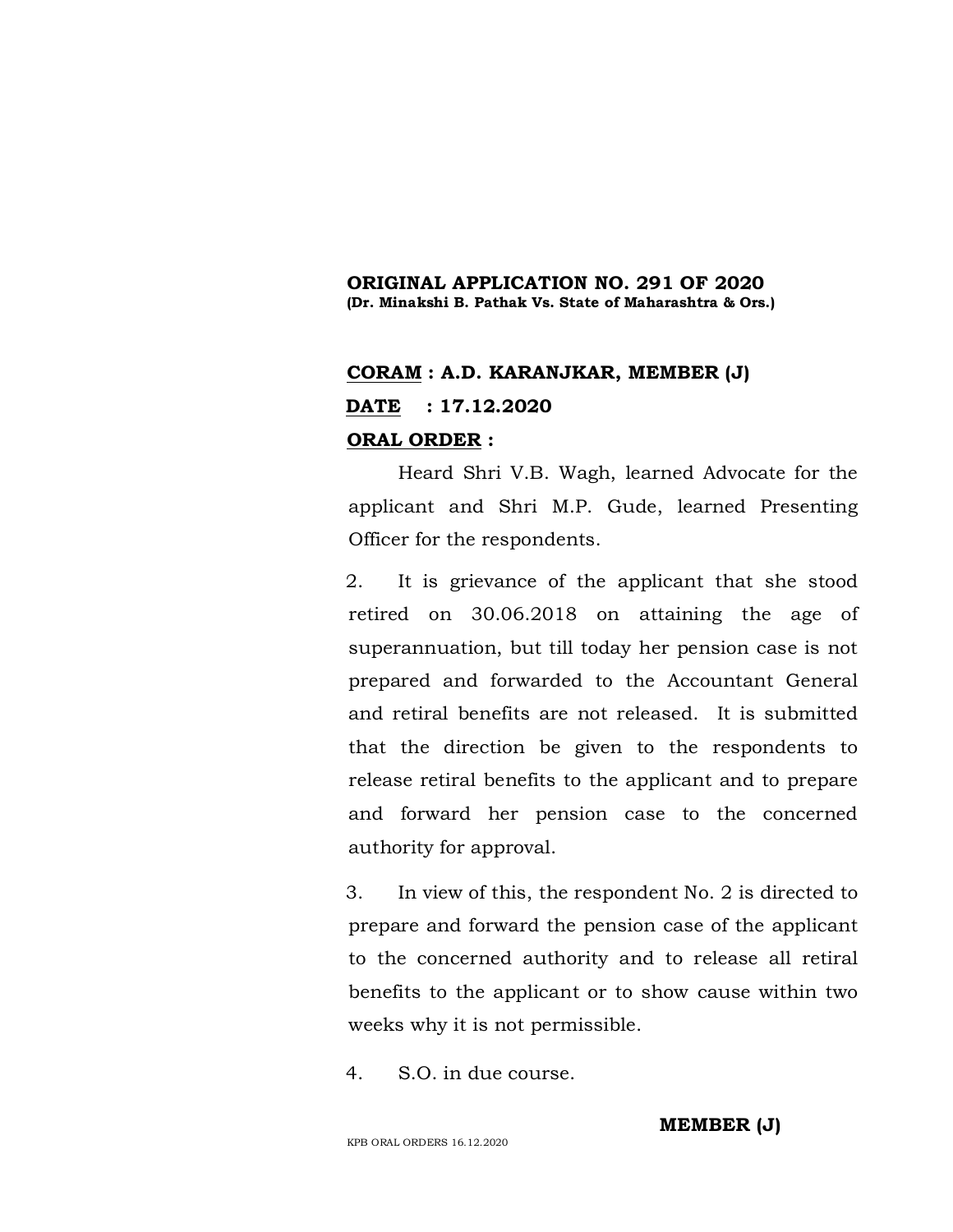### **ORIGINAL APPLICATION NO. 291 OF 2020 (Dr. Minakshi B. Pathak Vs. State of Maharashtra & Ors.)**

# **CORAM : A.D. KARANJKAR, MEMBER (J) DATE : 17.12.2020 ORAL ORDER :**

Heard Shri V.B. Wagh, learned Advocate for the applicant and Shri M.P. Gude, learned Presenting Officer for the respondents.

2. It is grievance of the applicant that she stood retired on 30.06.2018 on attaining the age of superannuation, but till today her pension case is not prepared and forwarded to the Accountant General and retiral benefits are not released. It is submitted that the direction be given to the respondents to release retiral benefits to the applicant and to prepare and forward her pension case to the concerned authority for approval.

3. In view of this, the respondent No. 2 is directed to prepare and forward the pension case of the applicant to the concerned authority and to release all retiral benefits to the applicant or to show cause within two weeks why it is not permissible.

4. S.O. in due course.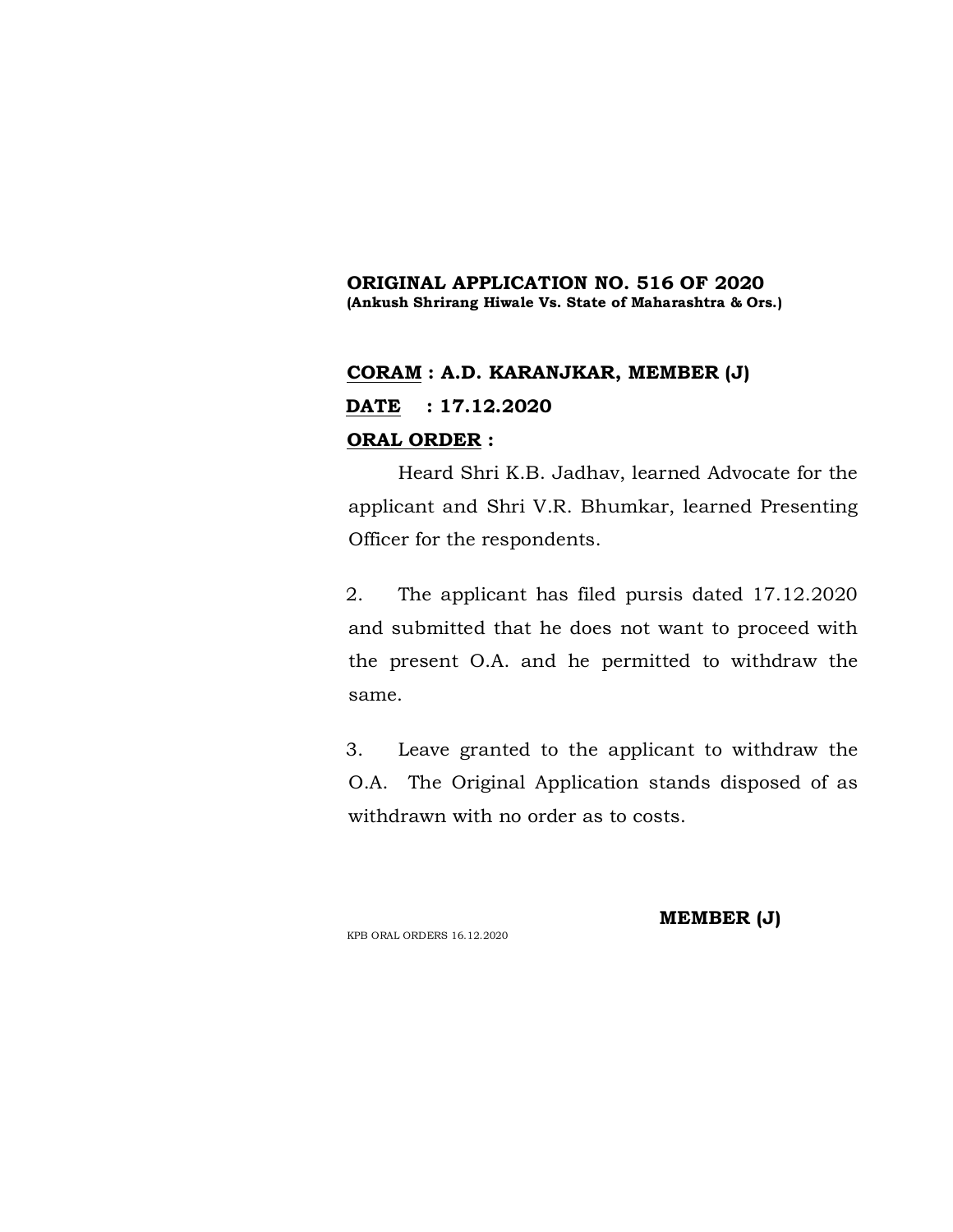## **ORIGINAL APPLICATION NO. 516 OF 2020 (Ankush Shrirang Hiwale Vs. State of Maharashtra & Ors.)**

# **CORAM : A.D. KARANJKAR, MEMBER (J) DATE : 17.12.2020 ORAL ORDER :**

Heard Shri K.B. Jadhav, learned Advocate for the applicant and Shri V.R. Bhumkar, learned Presenting Officer for the respondents.

2. The applicant has filed pursis dated 17.12.2020 and submitted that he does not want to proceed with the present O.A. and he permitted to withdraw the same.

3. Leave granted to the applicant to withdraw the O.A. The Original Application stands disposed of as withdrawn with no order as to costs.

KPB ORAL ORDERS 16.12.2020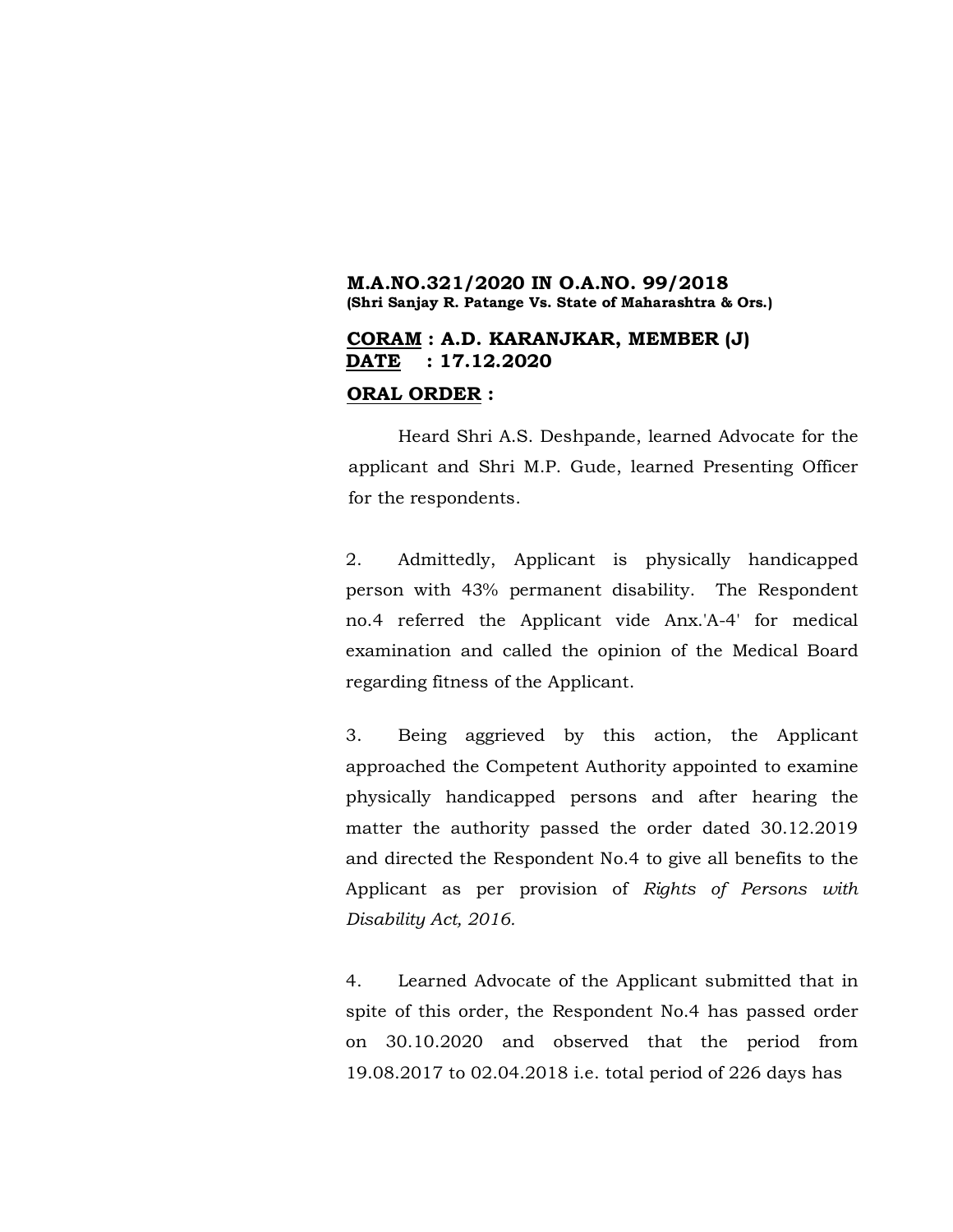### **M.A.NO.321/2020 IN O.A.NO. 99/2018 (Shri Sanjay R. Patange Vs. State of Maharashtra & Ors.)**

## **CORAM : A.D. KARANJKAR, MEMBER (J) DATE : 17.12.2020**

#### **ORAL ORDER :**

Heard Shri A.S. Deshpande, learned Advocate for the applicant and Shri M.P. Gude, learned Presenting Officer for the respondents.

2. Admittedly, Applicant is physically handicapped person with 43% permanent disability. The Respondent no.4 referred the Applicant vide Anx.'A-4' for medical examination and called the opinion of the Medical Board regarding fitness of the Applicant.

3. Being aggrieved by this action, the Applicant approached the Competent Authority appointed to examine physically handicapped persons and after hearing the matter the authority passed the order dated 30.12.2019 and directed the Respondent No.4 to give all benefits to the Applicant as per provision of *Rights of Persons with Disability Act, 2016.*

4. Learned Advocate of the Applicant submitted that in spite of this order, the Respondent No.4 has passed order on 30.10.2020 and observed that the period from 19.08.2017 to 02.04.2018 i.e. total period of 226 days has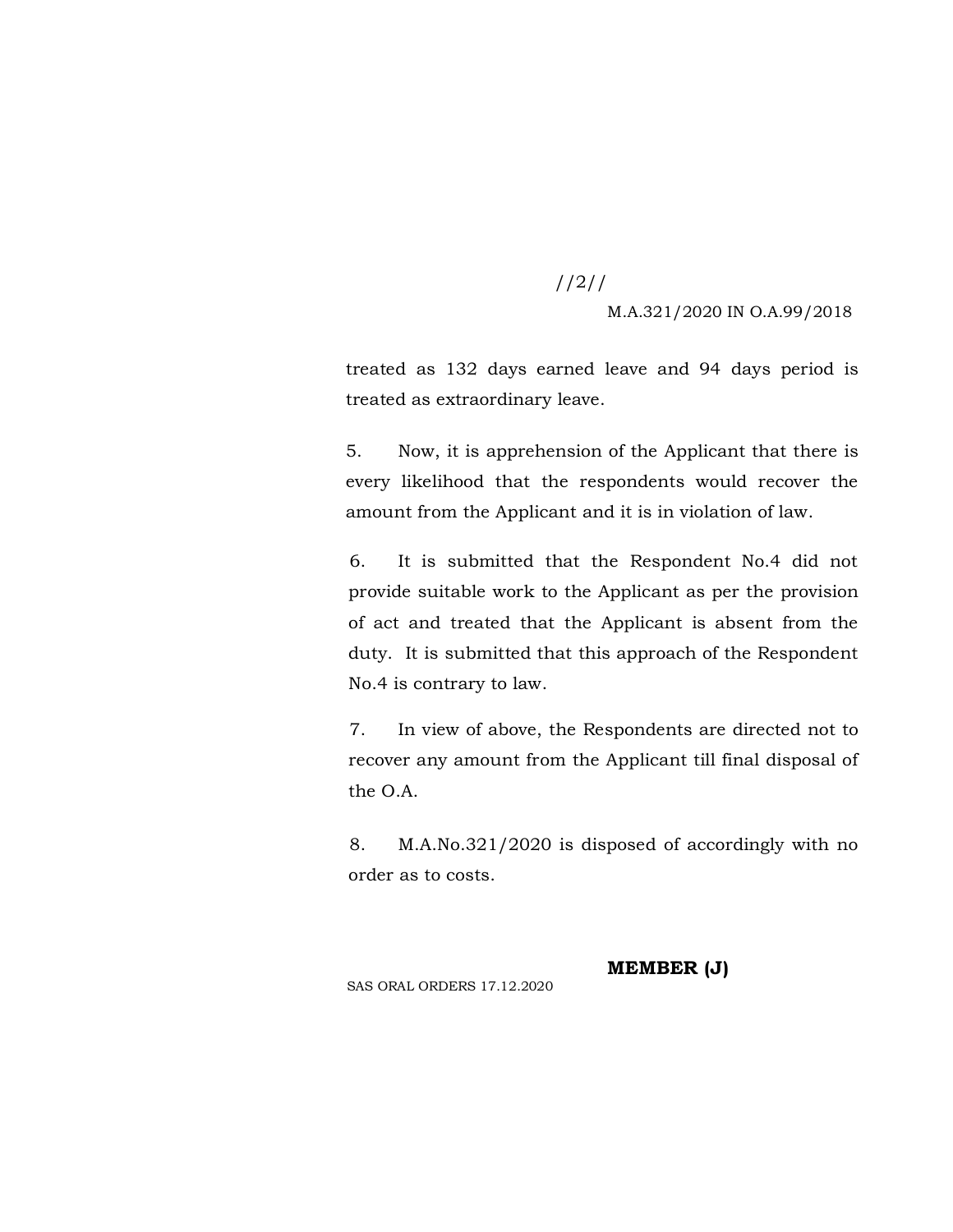//2//

M.A.321/2020 IN O.A.99/2018

treated as 132 days earned leave and 94 days period is treated as extraordinary leave.

5. Now, it is apprehension of the Applicant that there is every likelihood that the respondents would recover the amount from the Applicant and it is in violation of law.

6. It is submitted that the Respondent No.4 did not provide suitable work to the Applicant as per the provision of act and treated that the Applicant is absent from the duty. It is submitted that this approach of the Respondent No.4 is contrary to law.

7. In view of above, the Respondents are directed not to recover any amount from the Applicant till final disposal of the O.A.

8. M.A.No.321/2020 is disposed of accordingly with no order as to costs.

**MEMBER (J)**

SAS ORAL ORDERS 17.12.2020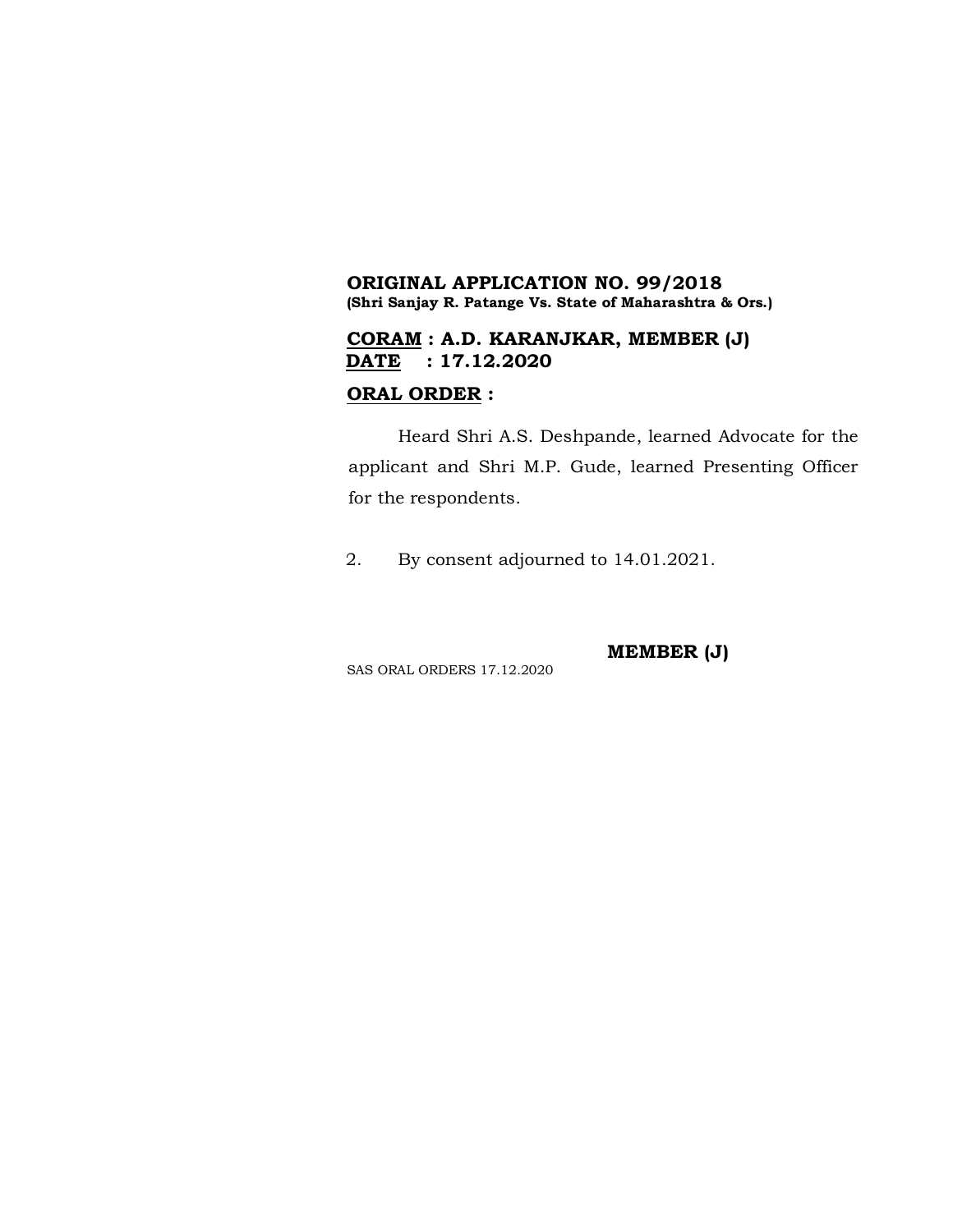## **ORIGINAL APPLICATION NO. 99/2018 (Shri Sanjay R. Patange Vs. State of Maharashtra & Ors.)**

## **CORAM : A.D. KARANJKAR, MEMBER (J) DATE : 17.12.2020**

### **ORAL ORDER :**

Heard Shri A.S. Deshpande, learned Advocate for the applicant and Shri M.P. Gude, learned Presenting Officer for the respondents.

2. By consent adjourned to 14.01.2021.

**MEMBER (J)**

SAS ORAL ORDERS 17.12.2020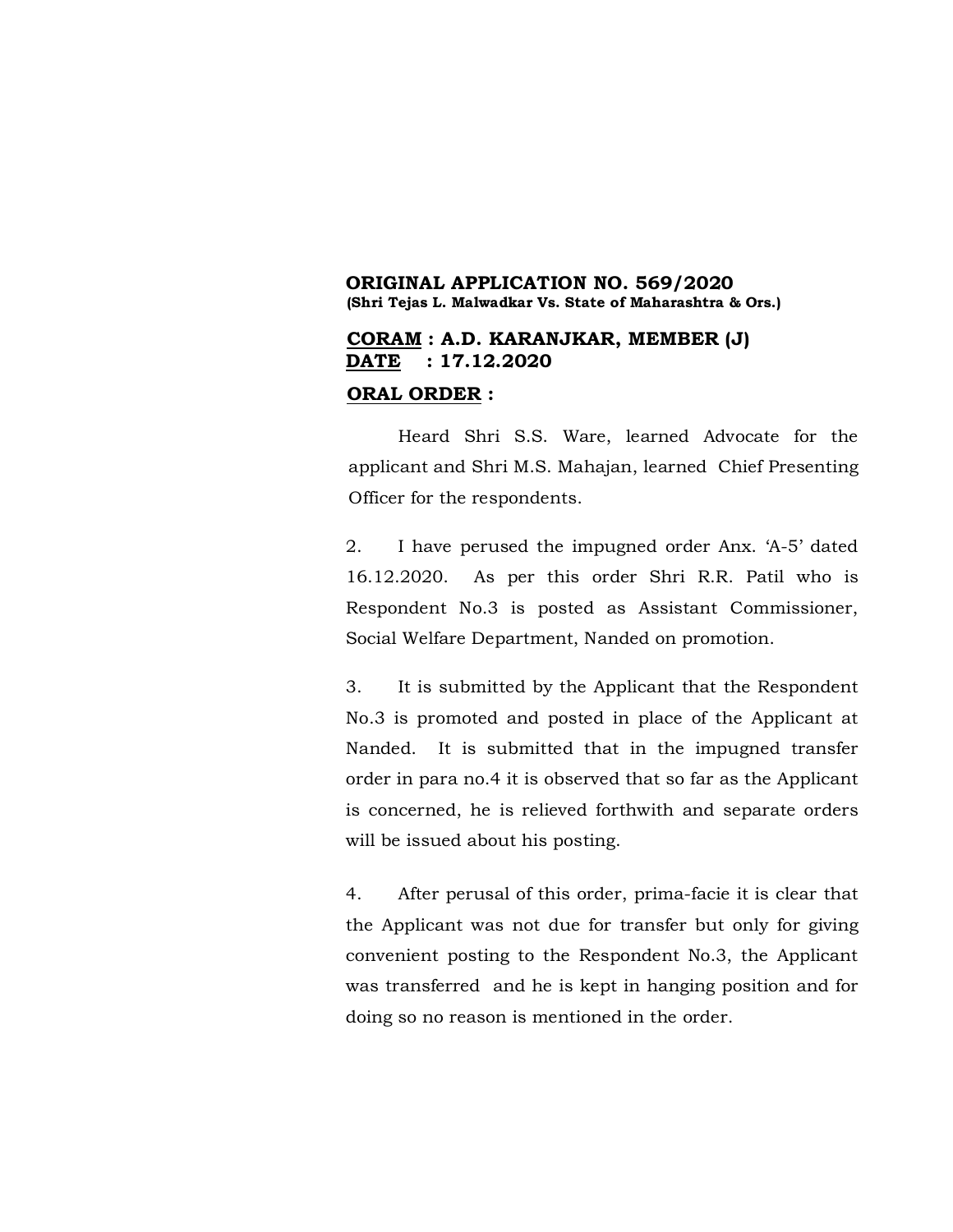### **ORIGINAL APPLICATION NO. 569/2020 (Shri Tejas L. Malwadkar Vs. State of Maharashtra & Ors.)**

## **CORAM : A.D. KARANJKAR, MEMBER (J) DATE : 17.12.2020**

#### **ORAL ORDER :**

Heard Shri S.S. Ware, learned Advocate for the applicant and Shri M.S. Mahajan, learned Chief Presenting Officer for the respondents.

2. I have perused the impugned order Anx. 'A-5' dated 16.12.2020. As per this order Shri R.R. Patil who is Respondent No.3 is posted as Assistant Commissioner, Social Welfare Department, Nanded on promotion.

3. It is submitted by the Applicant that the Respondent No.3 is promoted and posted in place of the Applicant at Nanded. It is submitted that in the impugned transfer order in para no.4 it is observed that so far as the Applicant is concerned, he is relieved forthwith and separate orders will be issued about his posting.

4. After perusal of this order, prima-facie it is clear that the Applicant was not due for transfer but only for giving convenient posting to the Respondent No.3, the Applicant was transferred and he is kept in hanging position and for doing so no reason is mentioned in the order.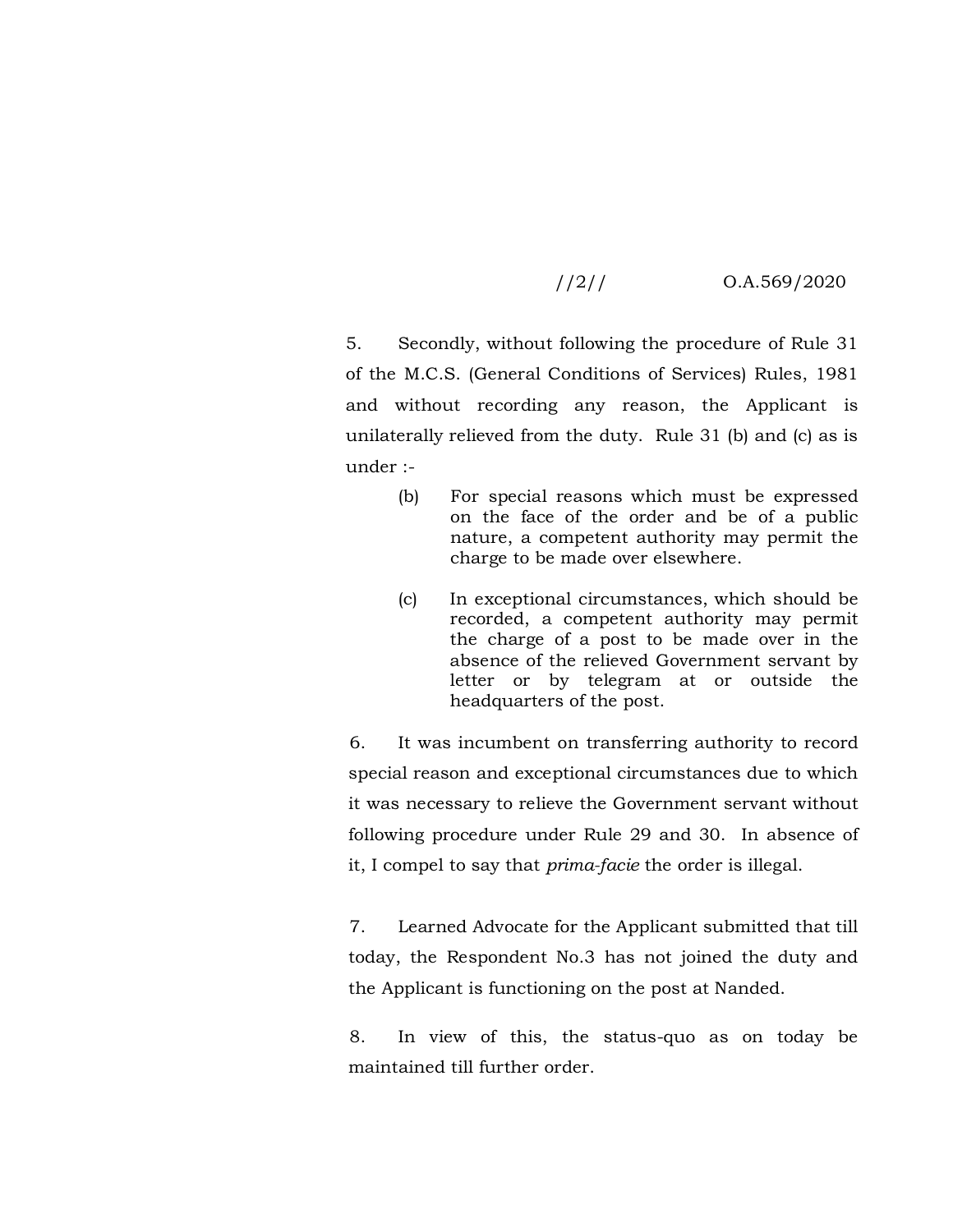## //2// O.A.569/2020

5. Secondly, without following the procedure of Rule 31 of the M.C.S. (General Conditions of Services) Rules, 1981 and without recording any reason, the Applicant is unilaterally relieved from the duty. Rule 31 (b) and (c) as is under :-

- (b) For special reasons which must be expressed on the face of the order and be of a public nature, a competent authority may permit the charge to be made over elsewhere.
- (c) In exceptional circumstances, which should be recorded, a competent authority may permit the charge of a post to be made over in the absence of the relieved Government servant by letter or by telegram at or outside the headquarters of the post.

6. It was incumbent on transferring authority to record special reason and exceptional circumstances due to which it was necessary to relieve the Government servant without following procedure under Rule 29 and 30. In absence of it, I compel to say that *prima-facie* the order is illegal.

7. Learned Advocate for the Applicant submitted that till today, the Respondent No.3 has not joined the duty and the Applicant is functioning on the post at Nanded.

8. In view of this, the status-quo as on today be maintained till further order.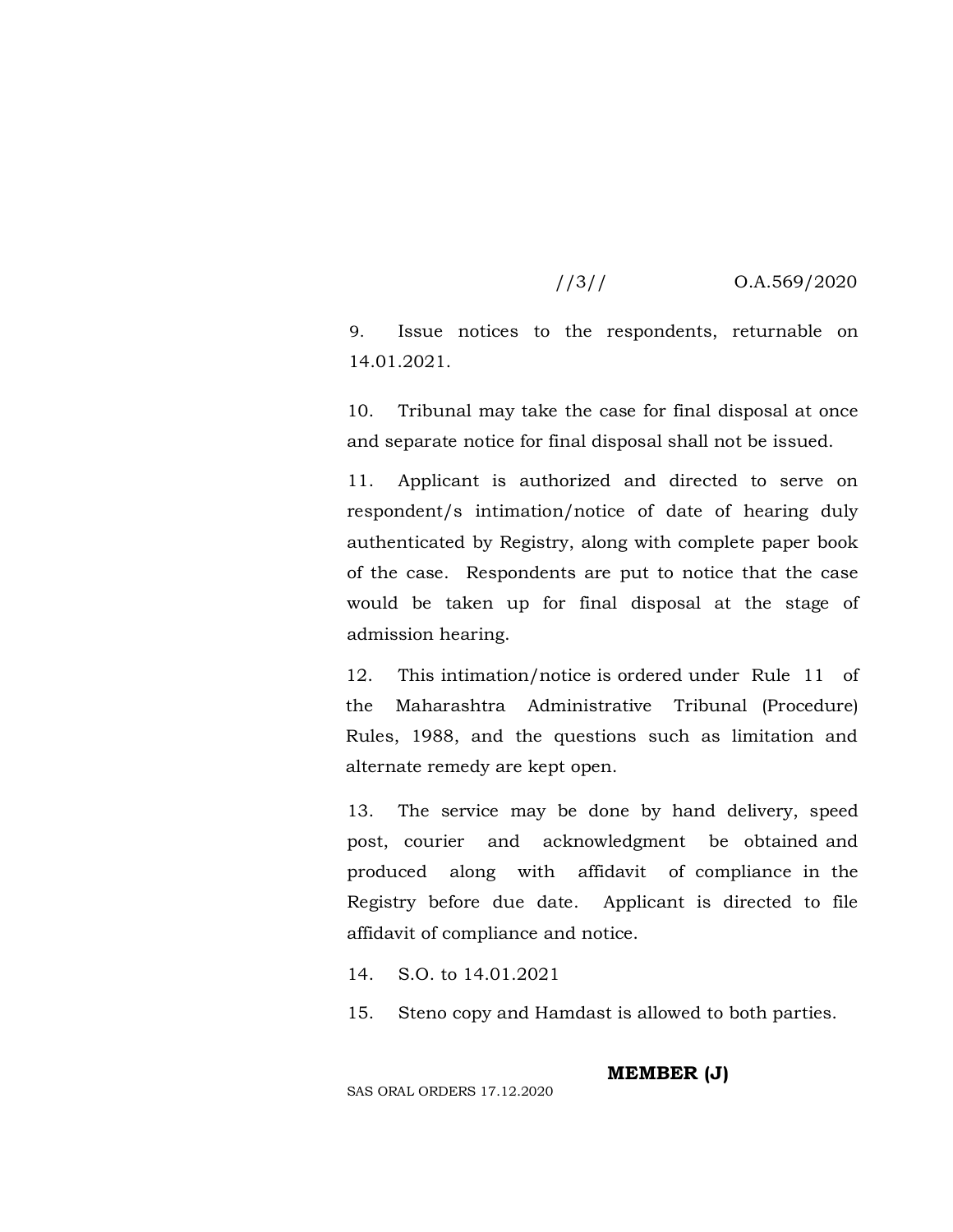## //3// O.A.569/2020

9. Issue notices to the respondents, returnable on 14.01.2021.

10. Tribunal may take the case for final disposal at once and separate notice for final disposal shall not be issued.

11. Applicant is authorized and directed to serve on respondent/s intimation/notice of date of hearing duly authenticated by Registry, along with complete paper book of the case. Respondents are put to notice that the case would be taken up for final disposal at the stage of admission hearing.

12. This intimation/notice is ordered under Rule 11 of the Maharashtra Administrative Tribunal (Procedure) Rules, 1988, and the questions such as limitation and alternate remedy are kept open.

13. The service may be done by hand delivery, speed post, courier and acknowledgment be obtained and produced along with affidavit of compliance in the Registry before due date. Applicant is directed to file affidavit of compliance and notice.

14. S.O. to 14.01.2021

15. Steno copy and Hamdast is allowed to both parties.

**MEMBER (J)**

SAS ORAL ORDERS 17.12.2020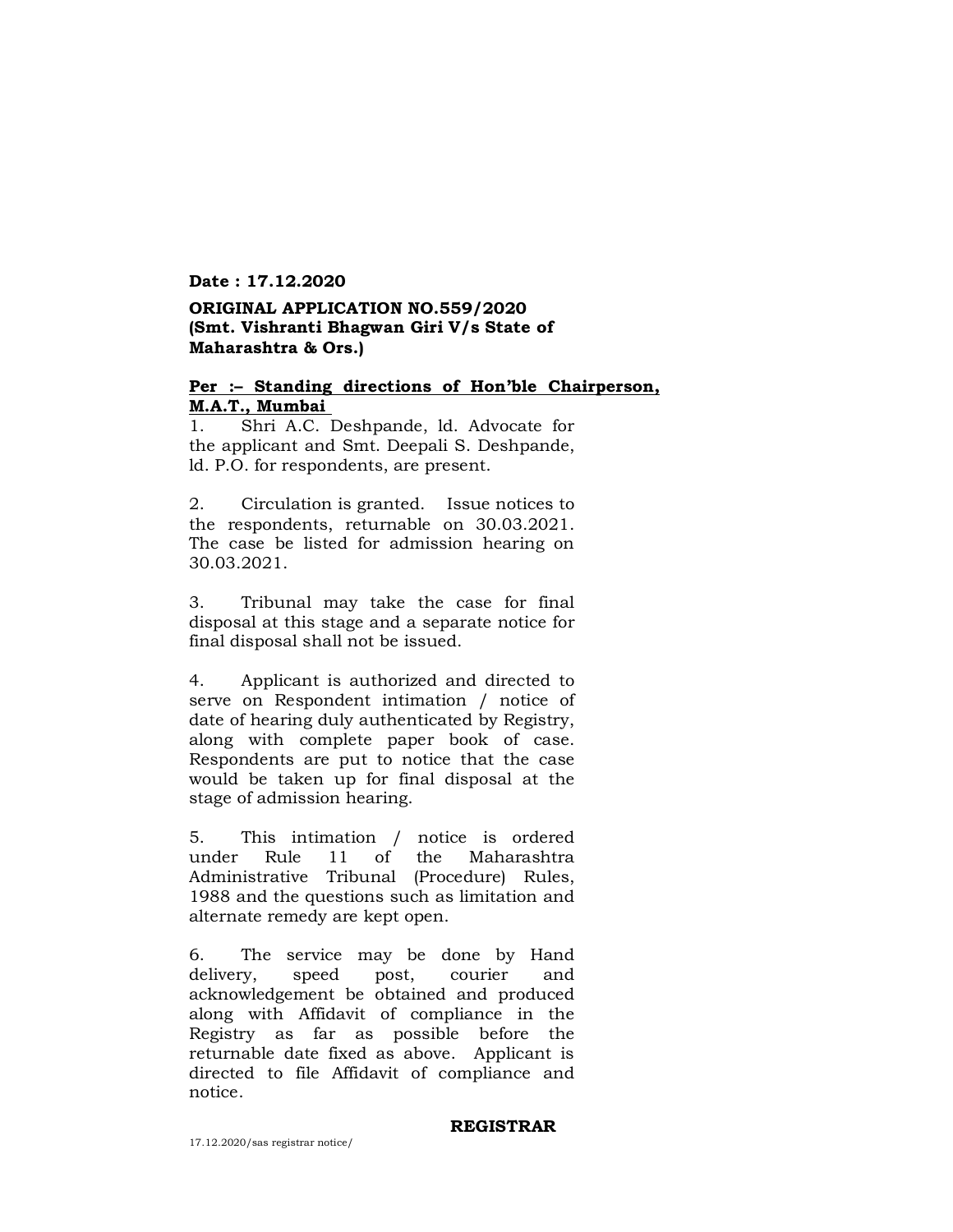## **ORIGINAL APPLICATION NO.559/2020 (Smt. Vishranti Bhagwan Giri V/s State of Maharashtra & Ors.)**

#### **Per :– Standing directions of Hon'ble Chairperson, M.A.T., Mumbai**

1. Shri A.C. Deshpande, ld. Advocate for the applicant and Smt. Deepali S. Deshpande, ld. P.O. for respondents, are present.

2. Circulation is granted. Issue notices to the respondents, returnable on 30.03.2021. The case be listed for admission hearing on 30.03.2021.

3. Tribunal may take the case for final disposal at this stage and a separate notice for final disposal shall not be issued.

4. Applicant is authorized and directed to serve on Respondent intimation / notice of date of hearing duly authenticated by Registry, along with complete paper book of case. Respondents are put to notice that the case would be taken up for final disposal at the stage of admission hearing.

5. This intimation / notice is ordered under Rule 11 of the Maharashtra Administrative Tribunal (Procedure) Rules, 1988 and the questions such as limitation and alternate remedy are kept open.

6. The service may be done by Hand delivery, speed post, courier and acknowledgement be obtained and produced along with Affidavit of compliance in the Registry as far as possible before the returnable date fixed as above. Applicant is directed to file Affidavit of compliance and notice.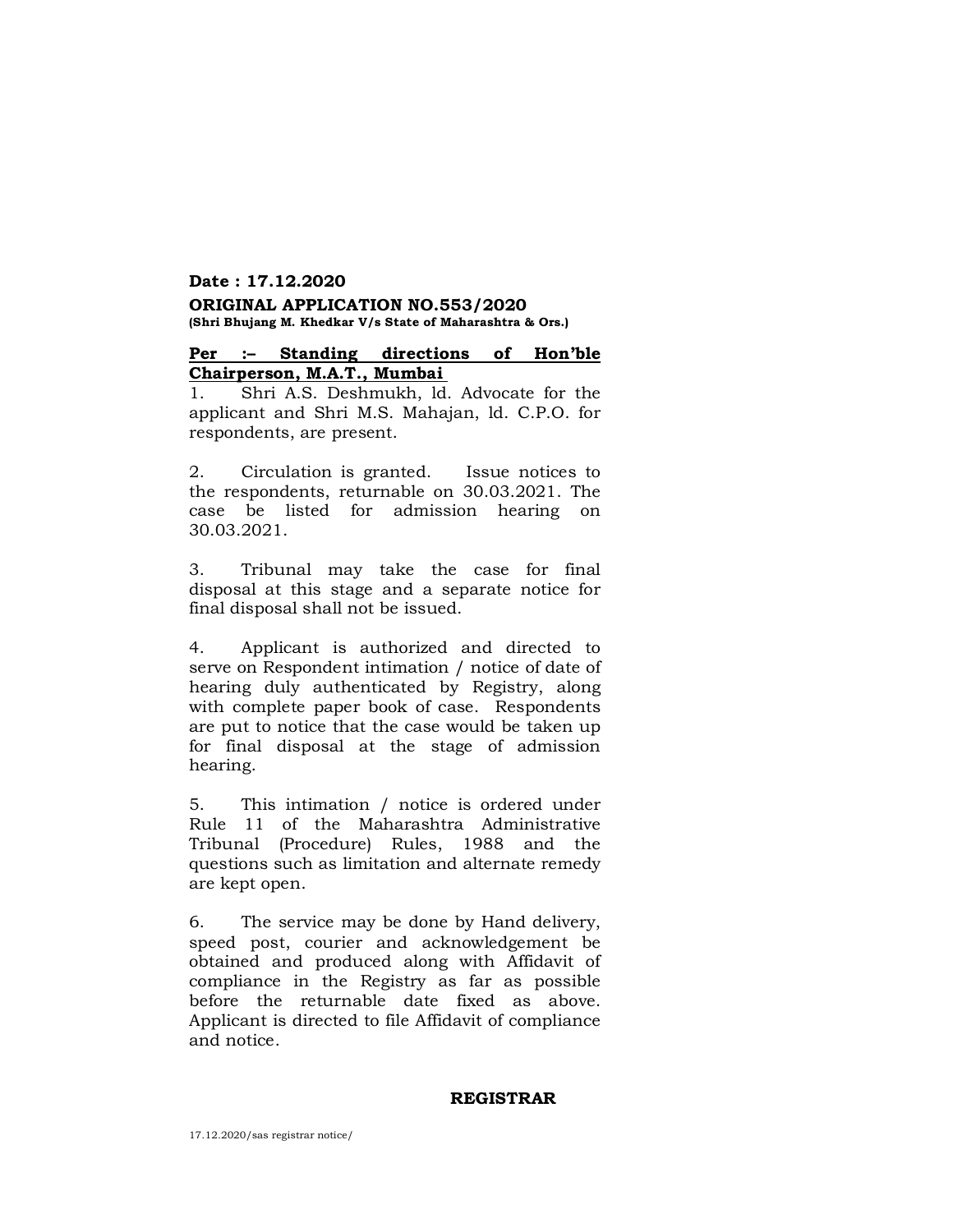#### **ORIGINAL APPLICATION NO.553/2020 (Shri Bhujang M. Khedkar V/s State of Maharashtra & Ors.)**

#### **Per :– Standing directions of Hon'ble Chairperson, M.A.T., Mumbai**

1. Shri A.S. Deshmukh, ld. Advocate for the applicant and Shri M.S. Mahajan, ld. C.P.O. for respondents, are present.

2. Circulation is granted. Issue notices to the respondents, returnable on 30.03.2021. The case be listed for admission hearing on 30.03.2021.

3. Tribunal may take the case for final disposal at this stage and a separate notice for final disposal shall not be issued.

4. Applicant is authorized and directed to serve on Respondent intimation / notice of date of hearing duly authenticated by Registry, along with complete paper book of case. Respondents are put to notice that the case would be taken up for final disposal at the stage of admission hearing.

5. This intimation / notice is ordered under Rule 11 of the Maharashtra Administrative Tribunal (Procedure) Rules, 1988 and the questions such as limitation and alternate remedy are kept open.

6. The service may be done by Hand delivery, speed post, courier and acknowledgement be obtained and produced along with Affidavit of compliance in the Registry as far as possible before the returnable date fixed as above. Applicant is directed to file Affidavit of compliance and notice.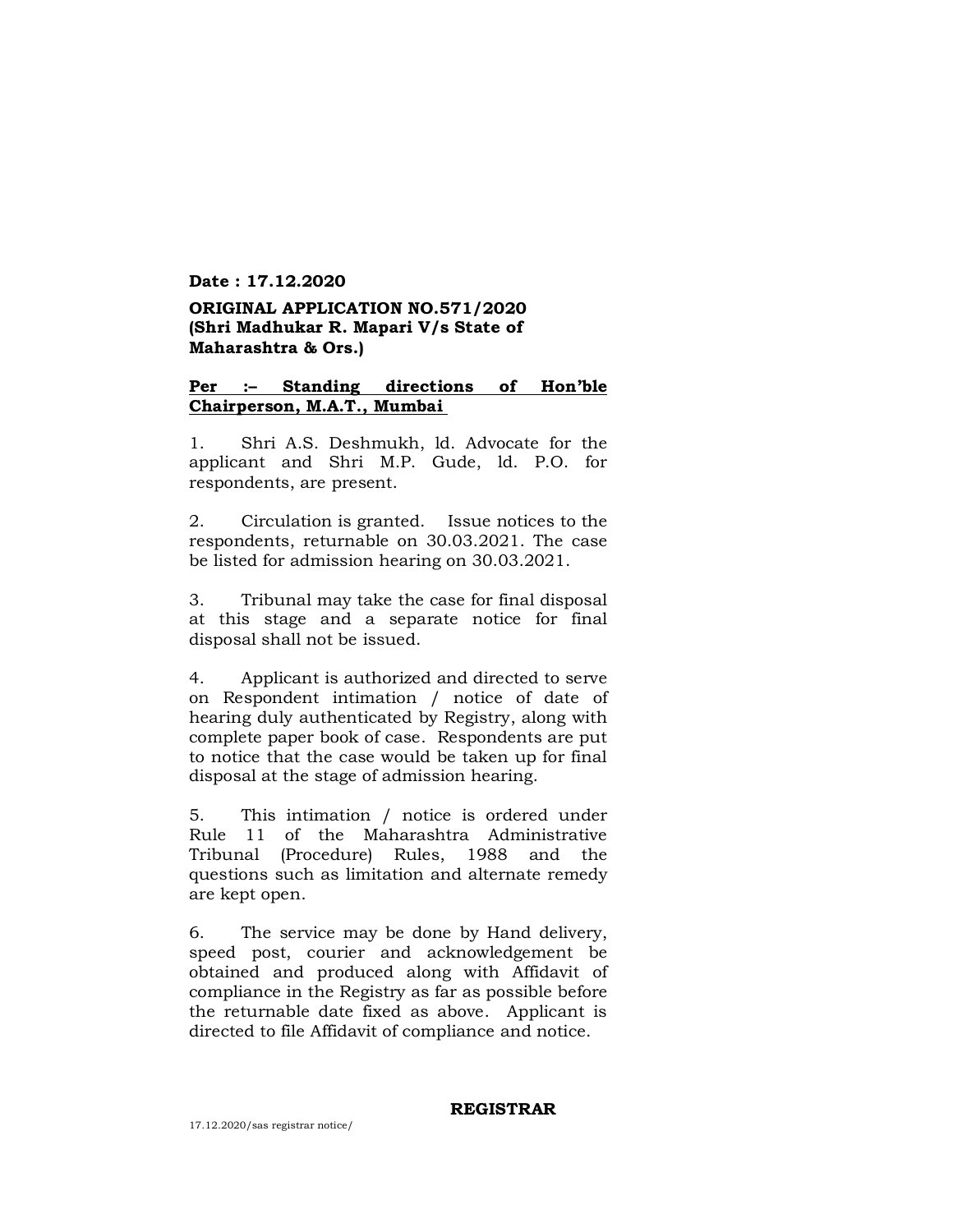## **ORIGINAL APPLICATION NO.571/2020 (Shri Madhukar R. Mapari V/s State of Maharashtra & Ors.)**

### **Per :– Standing directions of Hon'ble Chairperson, M.A.T., Mumbai**

1. Shri A.S. Deshmukh, ld. Advocate for the applicant and Shri M.P. Gude, ld. P.O. for respondents, are present.

2. Circulation is granted. Issue notices to the respondents, returnable on 30.03.2021. The case be listed for admission hearing on 30.03.2021.

3. Tribunal may take the case for final disposal at this stage and a separate notice for final disposal shall not be issued.

4. Applicant is authorized and directed to serve on Respondent intimation / notice of date of hearing duly authenticated by Registry, along with complete paper book of case. Respondents are put to notice that the case would be taken up for final disposal at the stage of admission hearing.

5. This intimation / notice is ordered under Rule 11 of the Maharashtra Administrative Tribunal (Procedure) Rules, 1988 and the questions such as limitation and alternate remedy are kept open.

6. The service may be done by Hand delivery, speed post, courier and acknowledgement be obtained and produced along with Affidavit of compliance in the Registry as far as possible before the returnable date fixed as above. Applicant is directed to file Affidavit of compliance and notice.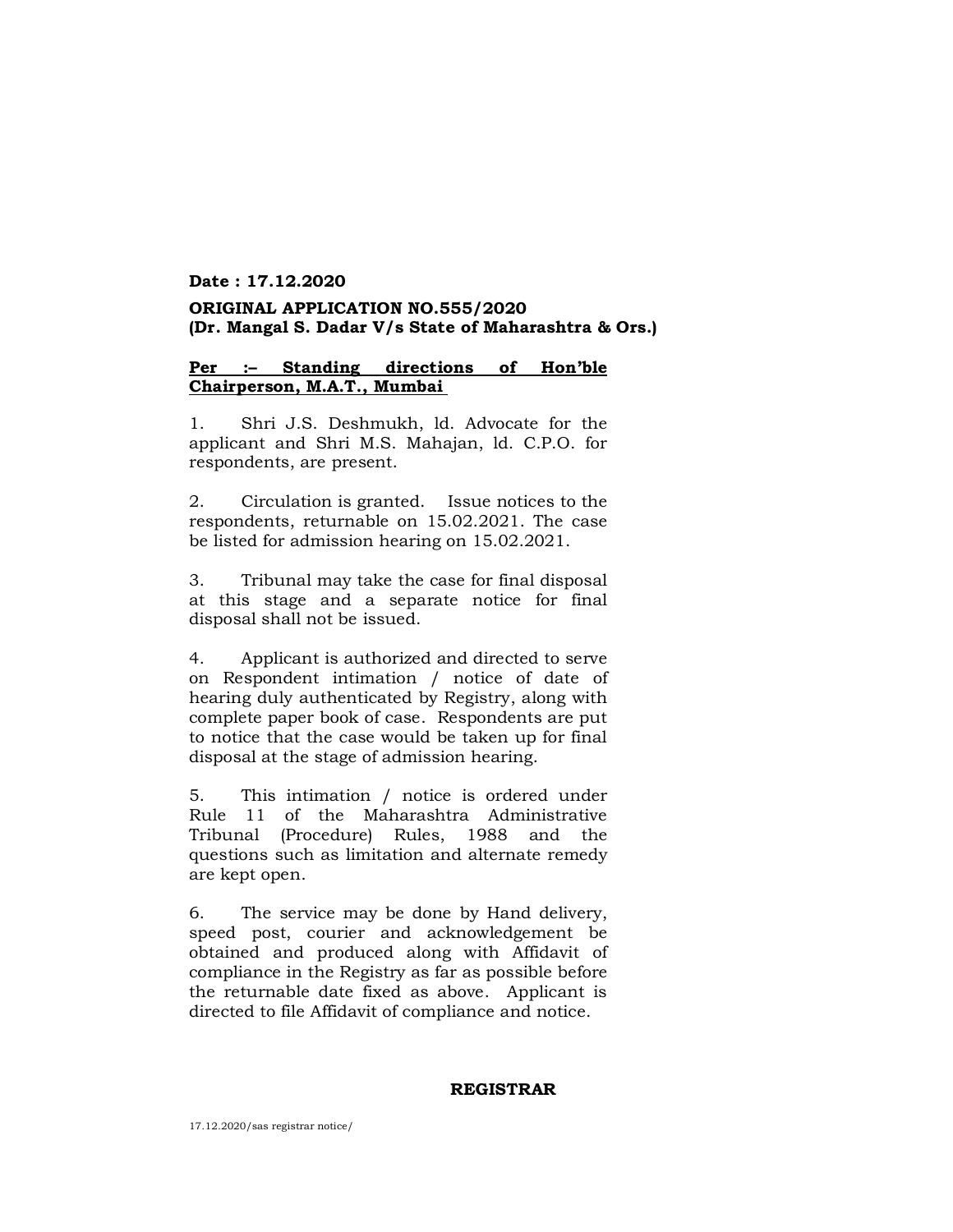## **Date : 17.12.2020 ORIGINAL APPLICATION NO.555/2020 (Dr. Mangal S. Dadar V/s State of Maharashtra & Ors.)**

### **Per :– Standing directions of Hon'ble Chairperson, M.A.T., Mumbai**

1. Shri J.S. Deshmukh, ld. Advocate for the applicant and Shri M.S. Mahajan, ld. C.P.O. for respondents, are present.

2. Circulation is granted. Issue notices to the respondents, returnable on 15.02.2021. The case be listed for admission hearing on 15.02.2021.

3. Tribunal may take the case for final disposal at this stage and a separate notice for final disposal shall not be issued.

4. Applicant is authorized and directed to serve on Respondent intimation / notice of date of hearing duly authenticated by Registry, along with complete paper book of case. Respondents are put to notice that the case would be taken up for final disposal at the stage of admission hearing.

5. This intimation / notice is ordered under Rule 11 of the Maharashtra Administrative Tribunal (Procedure) Rules, 1988 and the questions such as limitation and alternate remedy are kept open.

6. The service may be done by Hand delivery, speed post, courier and acknowledgement be obtained and produced along with Affidavit of compliance in the Registry as far as possible before the returnable date fixed as above. Applicant is directed to file Affidavit of compliance and notice.